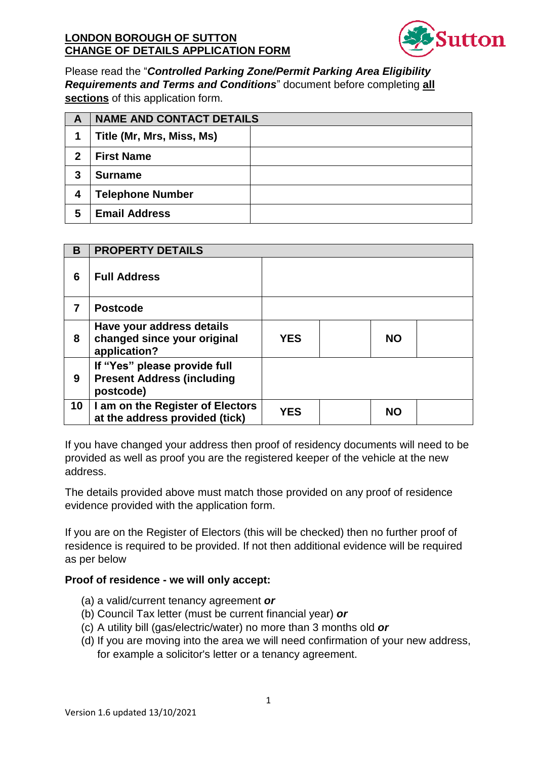

Please read the "Controlled Parking Zone/Permit Parking Area Eligibility Requirements and Terms and Conditions" document before completing all sections of this application form.

| A | <b>NAME AND CONTACT DETAILS</b> |  |  |
|---|---------------------------------|--|--|
| 1 | Title (Mr, Mrs, Miss, Ms)       |  |  |
| 2 | <b>First Name</b>               |  |  |
| 3 | <b>Surname</b>                  |  |  |
| 4 | <b>Telephone Number</b>         |  |  |
| 5 | <b>Email Address</b>            |  |  |

| B  | <b>PROPERTY DETAILS</b>                                                        |            |           |
|----|--------------------------------------------------------------------------------|------------|-----------|
| 6  | <b>Full Address</b>                                                            |            |           |
| 7  | <b>Postcode</b>                                                                |            |           |
| 8  | Have your address details<br>changed since your original<br>application?       | <b>YES</b> | <b>NO</b> |
| 9  | If "Yes" please provide full<br><b>Present Address (including</b><br>postcode) |            |           |
| 10 | I am on the Register of Electors<br>at the address provided (tick)             | YES        | <b>NO</b> |

If you have changed your address then proof of residency documents will need to be provided as well as proof you are the registered keeper of the vehicle at the new address.

The details provided above must match those provided on any proof of residence evidence provided with the application form.

If you are on the Register of Electors (this will be checked) then no further proof of residence is required to be provided. If not then additional evidence will be required as per below

# Proof of residence - we will only accept:

- (a) a valid/current tenancy agreement or
- (b) Council Tax letter (must be current financial year) or
- (c) A utility bill (gas/electric/water) no more than 3 months old or
- (d) If you are moving into the area we will need confirmation of your new address, for example a solicitor's letter or a tenancy agreement.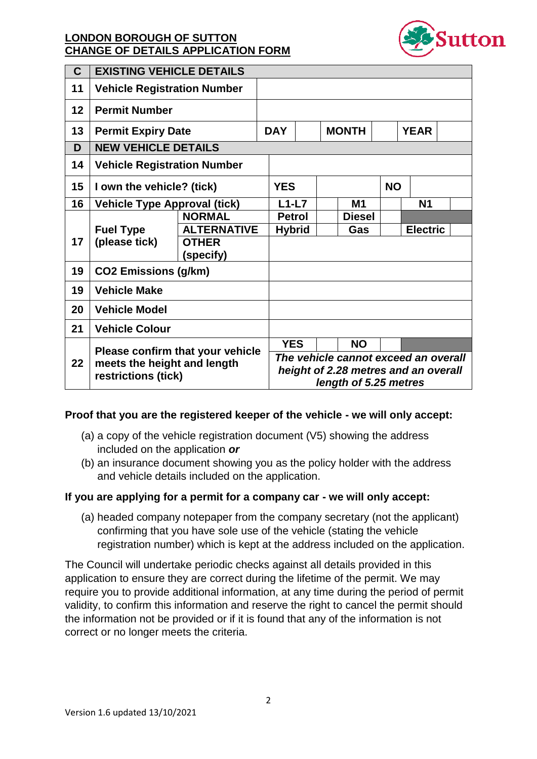

| $\mathbf{C}$ | <b>EXISTING VEHICLE DETAILS</b>                                                        |                           |  |                                                                                                       |  |              |               |                 |                |  |  |
|--------------|----------------------------------------------------------------------------------------|---------------------------|--|-------------------------------------------------------------------------------------------------------|--|--------------|---------------|-----------------|----------------|--|--|
| 11           | <b>Vehicle Registration Number</b>                                                     |                           |  |                                                                                                       |  |              |               |                 |                |  |  |
| 12           | <b>Permit Number</b>                                                                   |                           |  |                                                                                                       |  |              |               |                 |                |  |  |
| 13           | <b>Permit Expiry Date</b>                                                              |                           |  | <b>DAY</b>                                                                                            |  | <b>MONTH</b> |               |                 | <b>YEAR</b>    |  |  |
| D            | <b>NEW VEHICLE DETAILS</b>                                                             |                           |  |                                                                                                       |  |              |               |                 |                |  |  |
| 14           | <b>Vehicle Registration Number</b>                                                     |                           |  |                                                                                                       |  |              |               |                 |                |  |  |
| 15           | I own the vehicle? (tick)                                                              |                           |  | <b>YES</b>                                                                                            |  |              |               | <b>NO</b>       |                |  |  |
| 16           | <b>Vehicle Type Approval (tick)</b>                                                    |                           |  | $L1-L7$                                                                                               |  |              | <b>M1</b>     |                 | N <sub>1</sub> |  |  |
|              | <b>Fuel Type</b><br>(please tick)                                                      | <b>NORMAL</b>             |  | <b>Petrol</b>                                                                                         |  |              | <b>Diesel</b> |                 |                |  |  |
|              |                                                                                        | <b>ALTERNATIVE</b>        |  | <b>Hybrid</b>                                                                                         |  |              | Gas           | <b>Electric</b> |                |  |  |
| 17           |                                                                                        | <b>OTHER</b><br>(specify) |  |                                                                                                       |  |              |               |                 |                |  |  |
| 19           | <b>CO2 Emissions (g/km)</b>                                                            |                           |  |                                                                                                       |  |              |               |                 |                |  |  |
| 19           | <b>Vehicle Make</b>                                                                    |                           |  |                                                                                                       |  |              |               |                 |                |  |  |
| 20           | <b>Vehicle Model</b>                                                                   |                           |  |                                                                                                       |  |              |               |                 |                |  |  |
| 21           | <b>Vehicle Colour</b>                                                                  |                           |  |                                                                                                       |  |              |               |                 |                |  |  |
|              | Please confirm that your vehicle<br>meets the height and length<br>restrictions (tick) |                           |  | <b>YES</b>                                                                                            |  |              | <b>NO</b>     |                 |                |  |  |
| 22           |                                                                                        |                           |  | The vehicle cannot exceed an overall<br>height of 2.28 metres and an overall<br>length of 5.25 metres |  |              |               |                 |                |  |  |

#### Proof that you are the registered keeper of the vehicle - we will only accept:

- (a) a copy of the vehicle registration document  $(V5)$  showing the address included on the application or
- (b) an insurance document showing you as the policy holder with the address and vehicle details included on the application.

#### If you are applying for a permit for a company car - we will only accept:

(a) headed company notepaper from the company secretary (not the applicant) confirming that you have sole use of the vehicle (stating the vehicle registration number) which is kept at the address included on the application.

The Council will undertake periodic checks against all details provided in this application to ensure they are correct during the lifetime of the permit. We may require you to provide additional information, at any time during the period of permit validity, to confirm this information and reserve the right to cancel the permit should the information not be provided or if it is found that any of the information is not correct or no longer meets the criteria.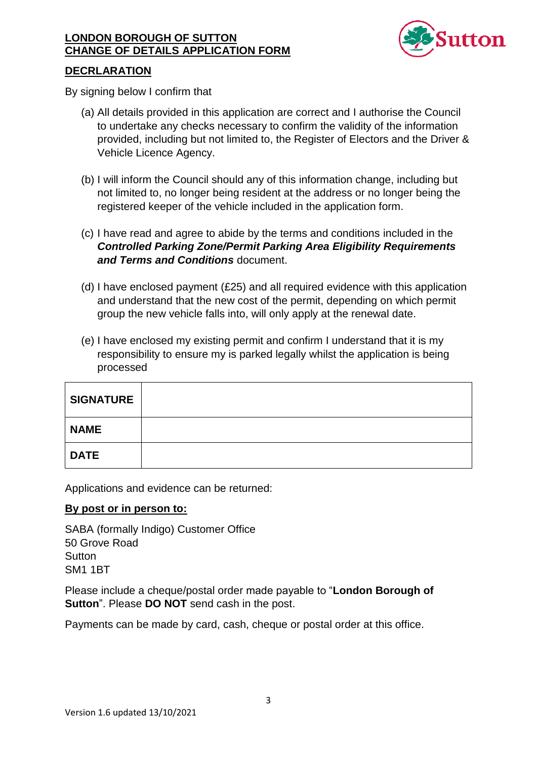

## **DECRLARATION**

By signing below I confirm that

- (a) All details provided in this application are correct and I authorise the Council to undertake any checks necessary to confirm the validity of the information provided, including but not limited to, the Register of Electors and the Driver & Vehicle Licence Agency.
- (b) I will inform the Council should any of this information change, including but not limited to, no longer being resident at the address or no longer being the registered keeper of the vehicle included in the application form.
- (c) I have read and agree to abide by the terms and conditions included in the **Controlled Parking Zone/Permit Parking Area Eligibility Requirements** and Terms and Conditions document.
- (d) I have enclosed payment (£25) and all required evidence with this application and understand that the new cost of the permit, depending on which permit group the new vehicle falls into, will only apply at the renewal date.
- (e) I have enclosed my existing permit and confirm I understand that it is my responsibility to ensure my is parked legally whilst the application is being processed

| <b>SIGNATURE</b> |  |
|------------------|--|
| <b>NAME</b>      |  |
| <b>DATE</b>      |  |

Applications and evidence can be returned:

#### By post or in person to:

SABA (formally Indigo) Customer Office 50 Grove Road Sutton **SM1 1BT** 

Please include a cheque/postal order made payable to "London Borough of Sutton". Please DO NOT send cash in the post.

Payments can be made by card, cash, cheque or postal order at this office.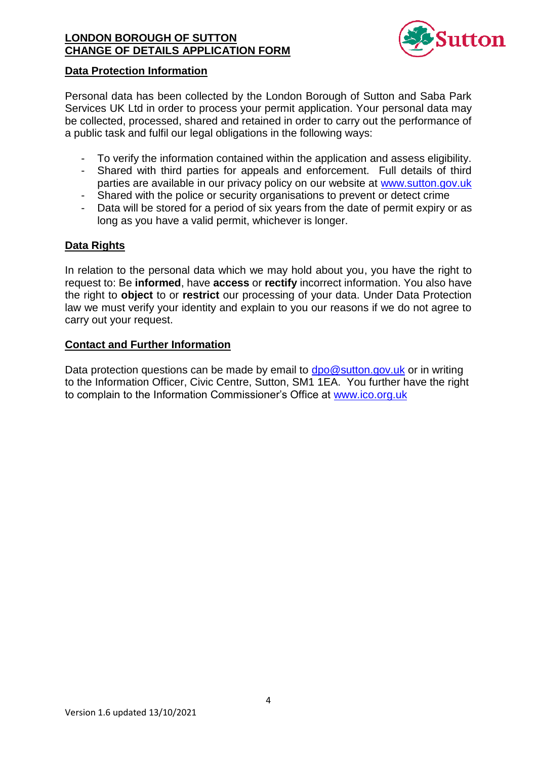

#### **Data Protection Information**

Personal data has been collected by the London Borough of Sutton and Saba Park Services UK Ltd in order to process your permit application. Your personal data may be collected, processed, shared and retained in order to carry out the performance of a public task and fulfil our legal obligations in the following ways:

- To verify the information contained within the application and assess eligibility.
- Shared with third parties for appeals and enforcement. Full details of third parties are available in our privacy policy on our website at www.sutton.gov.uk
- Shared with the police or security organisations to prevent or detect crime  $\omega_{\rm{max}}$
- Data will be stored for a period of six years from the date of permit expiry or as long as you have a valid permit, whichever is longer.

#### **Data Rights**

In relation to the personal data which we may hold about you, you have the right to request to: Be informed, have access or rectify incorrect information. You also have the right to object to or restrict our processing of your data. Under Data Protection law we must verify your identity and explain to you our reasons if we do not agree to carry out your request.

#### **Contact and Further Information**

Data protection questions can be made by email to  $dpo@sutton.gov.uk$  or in writing to the Information Officer, Civic Centre, Sutton, SM1 1EA. You further have the right to complain to the Information Commissioner's Office at www.ico.org.uk